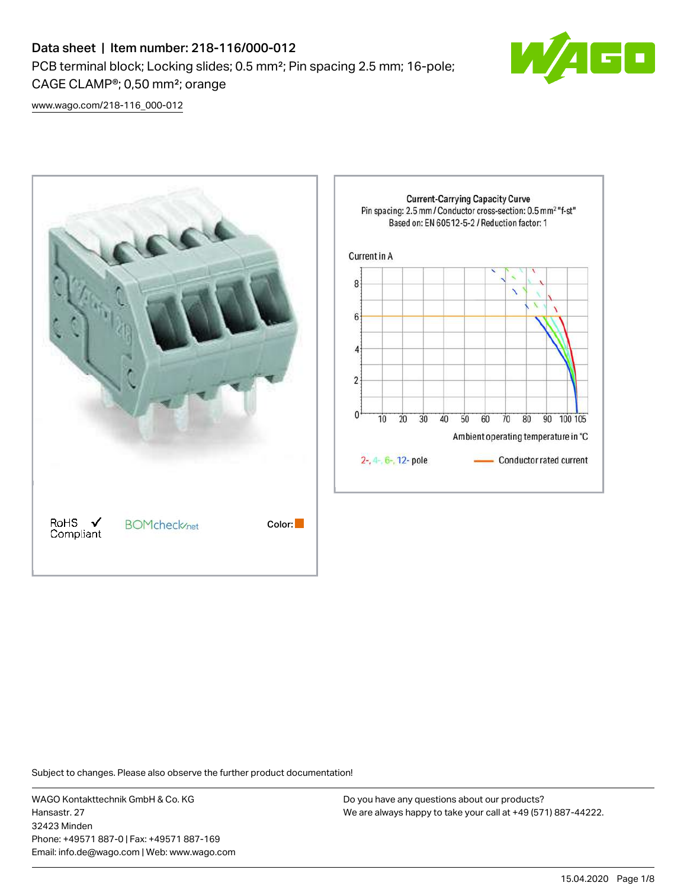# Data sheet | Item number: 218-116/000-012 PCB terminal block; Locking slides; 0.5 mm²; Pin spacing 2.5 mm; 16-pole; CAGE CLAMP®; 0,50 mm²; orange



[www.wago.com/218-116\\_000-012](http://www.wago.com/218-116_000-012)



Subject to changes. Please also observe the further product documentation!

WAGO Kontakttechnik GmbH & Co. KG Hansastr. 27 32423 Minden Phone: +49571 887-0 | Fax: +49571 887-169 Email: info.de@wago.com | Web: www.wago.com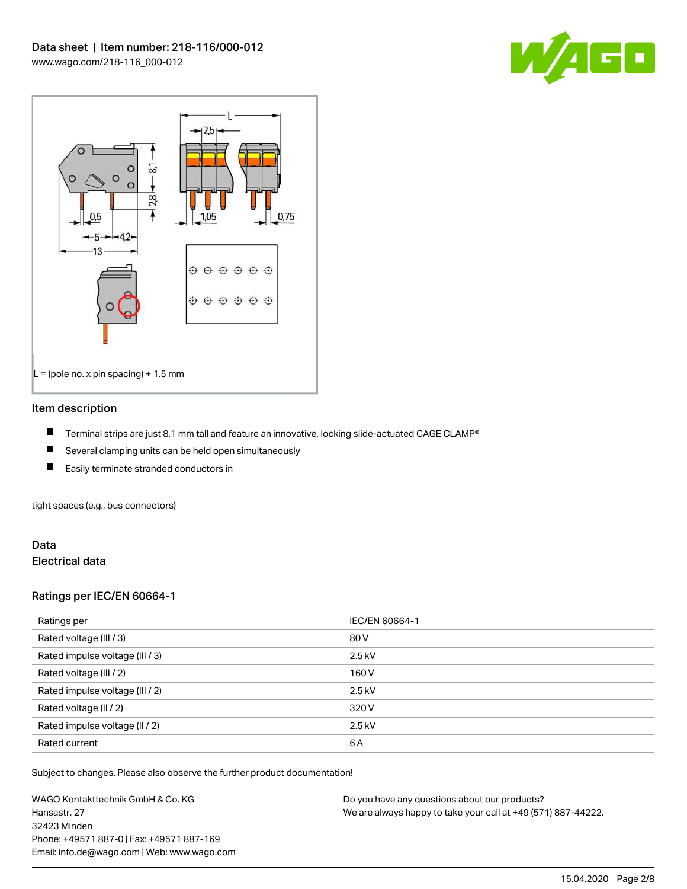



#### Item description

- П Terminal strips are just 8.1 mm tall and feature an innovative, locking slide-actuated CAGE CLAMP®
- $\blacksquare$ Several clamping units can be held open simultaneously
- П Easily terminate stranded conductors in

tight spaces (e.g., bus connectors)

#### Data Electrical data

#### Ratings per IEC/EN 60664-1

| Ratings per                     | IEC/EN 60664-1 |
|---------------------------------|----------------|
| Rated voltage (III / 3)         | 80 V           |
| Rated impulse voltage (III / 3) | $2.5$ kV       |
| Rated voltage (III / 2)         | 160 V          |
| Rated impulse voltage (III / 2) | $2.5$ kV       |
| Rated voltage (II / 2)          | 320 V          |
| Rated impulse voltage (II / 2)  | $2.5$ kV       |
| Rated current                   | 6A             |

Subject to changes. Please also observe the further product documentation!

WAGO Kontakttechnik GmbH & Co. KG Hansastr. 27 32423 Minden Phone: +49571 887-0 | Fax: +49571 887-169 Email: info.de@wago.com | Web: www.wago.com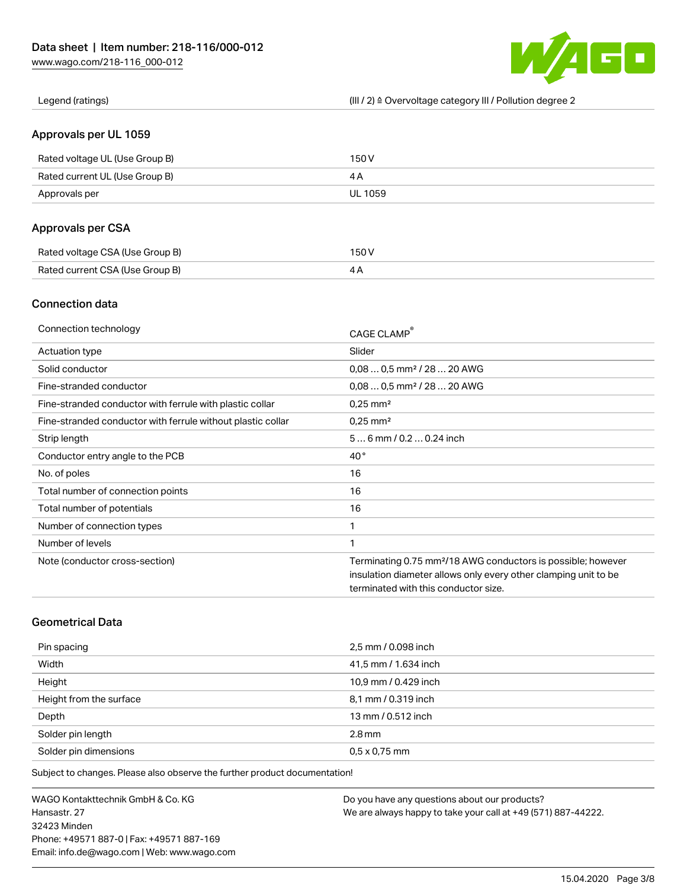

Legend (ratings) (III / 2) ≙ Overvoltage category III / Pollution degree 2

#### Approvals per UL 1059

| Rated voltage UL (Use Group B) | 150 V   |
|--------------------------------|---------|
| Rated current UL (Use Group B) |         |
| Approvals per                  | UL 1059 |

## Approvals per CSA

| Rated voltage CSA (Use Group B) | 150 V |
|---------------------------------|-------|
| Rated current CSA (Use Group B) |       |

## Connection data

| Connection technology                                       | CAGE CLAMP®                                                              |
|-------------------------------------------------------------|--------------------------------------------------------------------------|
| <b>Actuation type</b>                                       | Slider                                                                   |
| Solid conductor                                             | $0.080.5$ mm <sup>2</sup> / 28  20 AWG                                   |
| Fine-stranded conductor                                     | $0.080.5$ mm <sup>2</sup> / 28  20 AWG                                   |
| Fine-stranded conductor with ferrule with plastic collar    | $0.25$ mm <sup>2</sup>                                                   |
| Fine-stranded conductor with ferrule without plastic collar | $0.25$ mm <sup>2</sup>                                                   |
| Strip length                                                | $56$ mm $/ 0.20.24$ inch                                                 |
| Conductor entry angle to the PCB                            | $40^{\circ}$                                                             |
| No. of poles                                                | 16                                                                       |
| Total number of connection points                           | 16                                                                       |
| Total number of potentials                                  | 16                                                                       |
| Number of connection types                                  | 1                                                                        |
| Number of levels                                            | 1                                                                        |
| Note (conductor cross-section)                              | Terminating 0.75 mm <sup>2</sup> /18 AWG conductors is possible; however |
|                                                             | insulation diameter allows only every other clamping unit to be          |
|                                                             | terminated with this conductor size.                                     |

# Geometrical Data

| Pin spacing             | 2,5 mm / 0.098 inch  |
|-------------------------|----------------------|
| Width                   | 41,5 mm / 1.634 inch |
| Height                  | 10,9 mm / 0.429 inch |
| Height from the surface | 8,1 mm / 0.319 inch  |
| Depth                   | 13 mm / 0.512 inch   |
| Solder pin length       | $2.8 \,\mathrm{mm}$  |
| Solder pin dimensions   | $0.5 \times 0.75$ mm |

Subject to changes. Please also observe the further product documentation!

WAGO Kontakttechnik GmbH & Co. KG Hansastr. 27 32423 Minden Phone: +49571 887-0 | Fax: +49571 887-169 Email: info.de@wago.com | Web: www.wago.com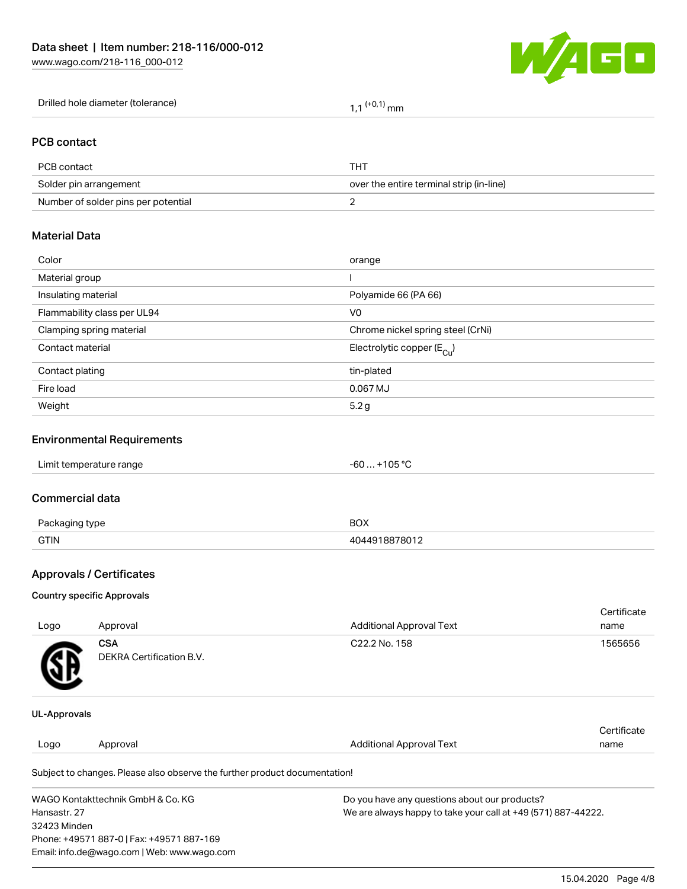

| Drilled hole diameter (tolerance) | l,1 <sup>(+0,1)</sup> mm |
|-----------------------------------|--------------------------|
|-----------------------------------|--------------------------|

#### PCB contact

| PCB contact                         | THT                                      |
|-------------------------------------|------------------------------------------|
| Solder pin arrangement              | over the entire terminal strip (in-line) |
| Number of solder pins per potential |                                          |

# Material Data

| Color                       | orange                                |
|-----------------------------|---------------------------------------|
| Material group              |                                       |
| Insulating material         | Polyamide 66 (PA 66)                  |
| Flammability class per UL94 | V <sub>0</sub>                        |
| Clamping spring material    | Chrome nickel spring steel (CrNi)     |
| Contact material            | Electrolytic copper $(E_{\text{Cl}})$ |
| Contact plating             | tin-plated                            |
| Fire load                   | 0.067 MJ                              |
| Weight                      | 5.2g                                  |
|                             |                                       |

## Environmental Requirements

# Commercial data

| Do.<br>type | BOX    |
|-------------|--------|
| <b>GTIN</b> | -78011 |

# Approvals / Certificates

#### Country specific Approvals

| Logo                | Approval                               | <b>Additional Approval Text</b> | Certificate<br>name |
|---------------------|----------------------------------------|---------------------------------|---------------------|
| <b>R</b>            | <b>CSA</b><br>DEKRA Certification B.V. | C22.2 No. 158                   | 1565656             |
| <b>UL-Approvals</b> |                                        |                                 |                     |

#### Logo Approval And American Additional Approval Text **Certificate** name

Subject to changes. Please also observe the further product documentation!

| WAGO Kontakttechnik GmbH & Co. KG           | Do you have any questions about our products?                 |
|---------------------------------------------|---------------------------------------------------------------|
| Hansastr. 27                                | We are always happy to take your call at +49 (571) 887-44222. |
| 32423 Minden                                |                                                               |
| Phone: +49571 887-0   Fax: +49571 887-169   |                                                               |
| Email: info.de@wago.com   Web: www.wago.com |                                                               |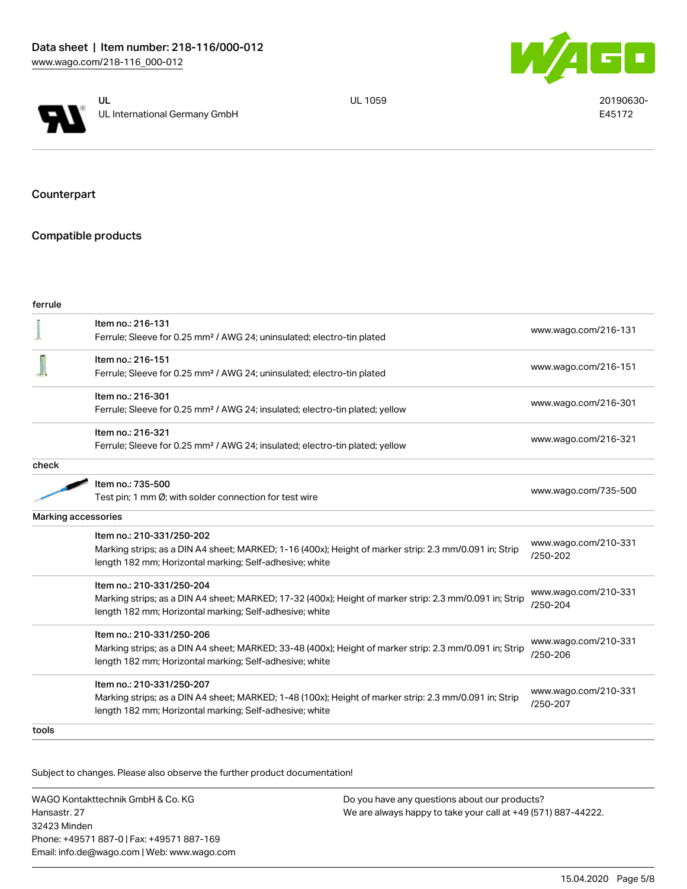



UL 1059 20190630-E45172

Counterpart

# Compatible products

| ferrule |                                                                                                                                                                                                 |                                  |
|---------|-------------------------------------------------------------------------------------------------------------------------------------------------------------------------------------------------|----------------------------------|
|         | Item no.: 216-131<br>Ferrule; Sleeve for 0.25 mm <sup>2</sup> / AWG 24; uninsulated; electro-tin plated                                                                                         | www.wago.com/216-131             |
|         | Item no.: 216-151<br>Ferrule; Sleeve for 0.25 mm <sup>2</sup> / AWG 24; uninsulated; electro-tin plated                                                                                         | www.wago.com/216-151             |
|         | Item no.: 216-301<br>Ferrule; Sleeve for 0.25 mm <sup>2</sup> / AWG 24; insulated; electro-tin plated; yellow                                                                                   | www.wago.com/216-301             |
|         | Item no.: 216-321<br>Ferrule; Sleeve for 0.25 mm <sup>2</sup> / AWG 24; insulated; electro-tin plated; yellow                                                                                   | www.wago.com/216-321             |
| check   |                                                                                                                                                                                                 |                                  |
|         | Item no.: 735-500<br>Test pin; 1 mm Ø; with solder connection for test wire                                                                                                                     | www.wago.com/735-500             |
|         | <b>Marking accessories</b>                                                                                                                                                                      |                                  |
|         | Item no.: 210-331/250-202<br>Marking strips; as a DIN A4 sheet; MARKED; 1-16 (400x); Height of marker strip: 2.3 mm/0.091 in; Strip<br>length 182 mm; Horizontal marking; Self-adhesive; white  | www.wago.com/210-331<br>/250-202 |
|         | Item no.: 210-331/250-204<br>Marking strips; as a DIN A4 sheet; MARKED; 17-32 (400x); Height of marker strip: 2.3 mm/0.091 in; Strip<br>length 182 mm; Horizontal marking; Self-adhesive; white | www.wago.com/210-331<br>/250-204 |
|         | Item no.: 210-331/250-206<br>Marking strips; as a DIN A4 sheet; MARKED; 33-48 (400x); Height of marker strip: 2.3 mm/0.091 in; Strip<br>length 182 mm; Horizontal marking; Self-adhesive; white | www.wago.com/210-331<br>/250-206 |
|         | Item no.: 210-331/250-207<br>Marking strips; as a DIN A4 sheet; MARKED; 1-48 (100x); Height of marker strip: 2.3 mm/0.091 in; Strip<br>length 182 mm; Horizontal marking; Self-adhesive; white  | www.wago.com/210-331<br>/250-207 |
| tools   |                                                                                                                                                                                                 |                                  |

Subject to changes. Please also observe the further product documentation!

WAGO Kontakttechnik GmbH & Co. KG Hansastr. 27 32423 Minden Phone: +49571 887-0 | Fax: +49571 887-169 Email: info.de@wago.com | Web: www.wago.com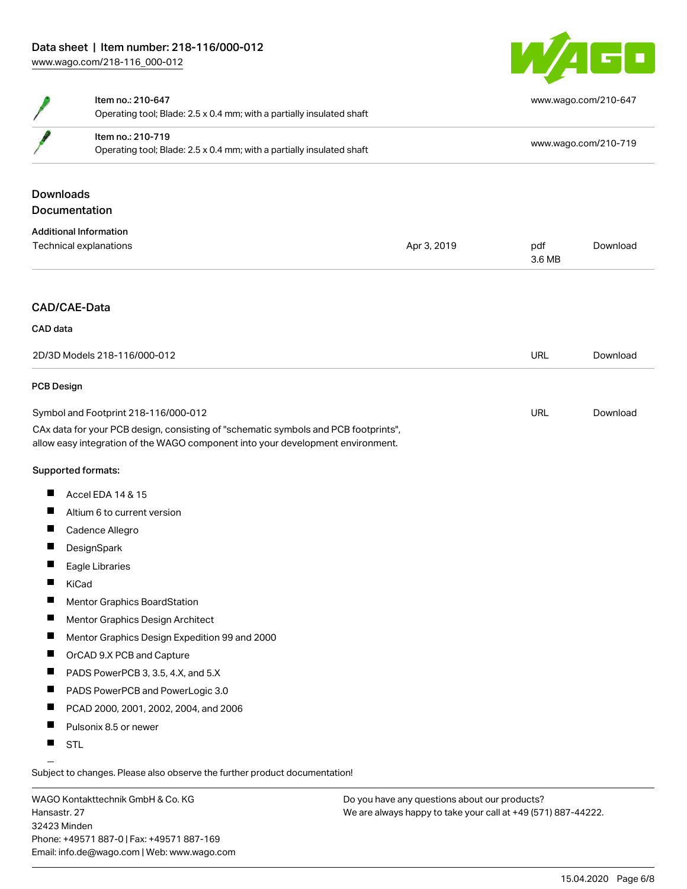

|                                      | Item no.: 210-647<br>Operating tool; Blade: 2.5 x 0.4 mm; with a partially insulated shaft<br>Item no.: 210-719<br>Operating tool; Blade: 2.5 x 0.4 mm; with a partially insulated shaft |             |                      | www.wago.com/210-647 |  |
|--------------------------------------|------------------------------------------------------------------------------------------------------------------------------------------------------------------------------------------|-------------|----------------------|----------------------|--|
|                                      |                                                                                                                                                                                          |             | www.wago.com/210-719 |                      |  |
|                                      |                                                                                                                                                                                          |             |                      |                      |  |
| <b>Downloads</b>                     |                                                                                                                                                                                          |             |                      |                      |  |
|                                      | Documentation                                                                                                                                                                            |             |                      |                      |  |
|                                      | <b>Additional Information</b>                                                                                                                                                            |             |                      |                      |  |
|                                      | Technical explanations                                                                                                                                                                   | Apr 3, 2019 | pdf<br>3.6 MB        | Download             |  |
|                                      | <b>CAD/CAE-Data</b>                                                                                                                                                                      |             |                      |                      |  |
| CAD data                             |                                                                                                                                                                                          |             |                      |                      |  |
| 2D/3D Models 218-116/000-012         |                                                                                                                                                                                          | <b>URL</b>  | Download             |                      |  |
| <b>PCB Design</b>                    |                                                                                                                                                                                          |             |                      |                      |  |
| Symbol and Footprint 218-116/000-012 |                                                                                                                                                                                          |             | <b>URL</b>           | Download             |  |
|                                      | CAx data for your PCB design, consisting of "schematic symbols and PCB footprints",<br>allow easy integration of the WAGO component into your development environment.                   |             |                      |                      |  |
|                                      | Supported formats:                                                                                                                                                                       |             |                      |                      |  |
| Ш                                    | Accel EDA 14 & 15                                                                                                                                                                        |             |                      |                      |  |
| ш                                    | Altium 6 to current version                                                                                                                                                              |             |                      |                      |  |
| ш                                    | Cadence Allegro                                                                                                                                                                          |             |                      |                      |  |
| H.                                   | DesignSpark                                                                                                                                                                              |             |                      |                      |  |
|                                      | Eagle Libraries                                                                                                                                                                          |             |                      |                      |  |
| Ш                                    | KiCad                                                                                                                                                                                    |             |                      |                      |  |
| H.                                   | Mentor Graphics BoardStation                                                                                                                                                             |             |                      |                      |  |
| п                                    | Mentor Graphics Design Architect                                                                                                                                                         |             |                      |                      |  |
| ш                                    | Mentor Graphics Design Expedition 99 and 2000                                                                                                                                            |             |                      |                      |  |
| п                                    | OrCAD 9.X PCB and Capture                                                                                                                                                                |             |                      |                      |  |
| ш                                    | PADS PowerPCB 3, 3.5, 4.X, and 5.X                                                                                                                                                       |             |                      |                      |  |
| ш                                    | PADS PowerPCB and PowerLogic 3.0                                                                                                                                                         |             |                      |                      |  |
| Ш                                    | PCAD 2000, 2001, 2002, 2004, and 2006                                                                                                                                                    |             |                      |                      |  |
| п                                    | Pulsonix 8.5 or newer                                                                                                                                                                    |             |                      |                      |  |
| ш                                    | <b>STL</b>                                                                                                                                                                               |             |                      |                      |  |

Subject to changes. Please also observe the further product documentation!

WAGO Kontakttechnik GmbH & Co. KG Hansastr. 27 32423 Minden Phone: +49571 887-0 | Fax: +49571 887-169 Email: info.de@wago.com | Web: www.wago.com

 $\overline{\phantom{0}}$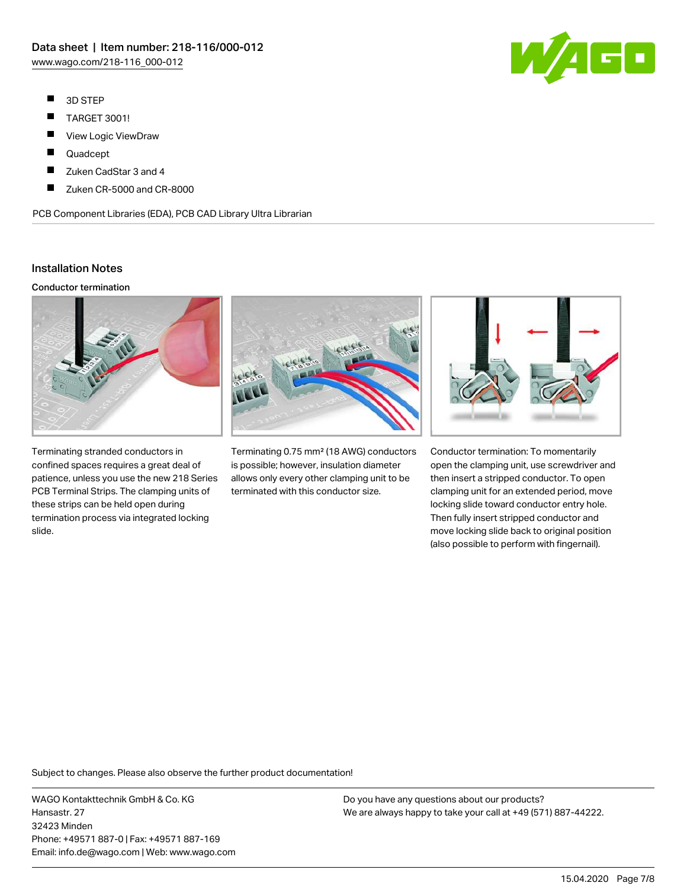- $\blacksquare$ 3D STEP
- $\blacksquare$ TARGET 3001!
- $\blacksquare$ View Logic ViewDraw
- $\blacksquare$ Quadcept
- П Zuken CadStar 3 and 4
- П Zuken CR-5000 and CR-8000

PCB Component Libraries (EDA), PCB CAD Library Ultra Librarian

## Installation Notes

#### Conductor termination



Terminating stranded conductors in confined spaces requires a great deal of patience, unless you use the new 218 Series PCB Terminal Strips. The clamping units of these strips can be held open during termination process via integrated locking slide.



Terminating 0.75 mm² (18 AWG) conductors is possible; however, insulation diameter allows only every other clamping unit to be terminated with this conductor size.



Conductor termination: To momentarily open the clamping unit, use screwdriver and then insert a stripped conductor. To open clamping unit for an extended period, move locking slide toward conductor entry hole. Then fully insert stripped conductor and move locking slide back to original position (also possible to perform with fingernail).

Subject to changes. Please also observe the further product documentation!

WAGO Kontakttechnik GmbH & Co. KG Hansastr. 27 32423 Minden Phone: +49571 887-0 | Fax: +49571 887-169 Email: info.de@wago.com | Web: www.wago.com